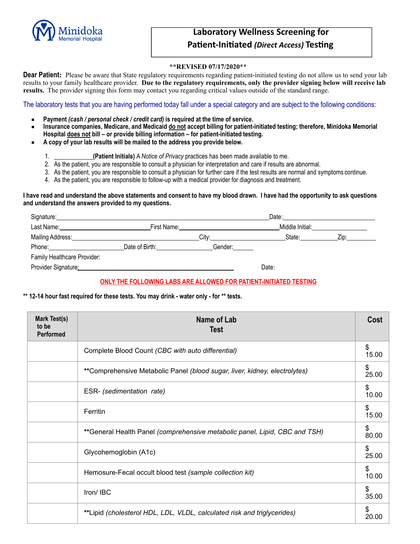

# **Laboratory Wellness Screening for Patient-Initiated** *(Direct Access)* **Testing**

### **\*\*REVISED 07/17/2020\*\***

**Dear Patient:** Please be aware that State regulatory requirements regarding patient-initiated testing do not allow us to send your lab results to your family healthcare provider. **Due to the regulatory requirements, only the provider signing below will receive lab results.** The provider signing this form may contact you regarding critical values outside of the standard range.

The laboratory tests that you are having performed today fall under a special category and are subject to the following conditions:

- **Payment** *(cash / personal check / credit card)* **is required at the time of service.**
- **Insurance companies, Medicare, and Medicaid do not accept billing for patient-initiated testing; therefore, Minidoka Memorial Hospital does not bill – or provide billing information – for patient-initiated testing.**
- **A copy of your lab results will be mailed to the address you provide below.** 
	- 1. **(Patient Initials)** A *Notice of Privacy* practices has been made available to me.
	- 2. As the patient, you are responsible to consult a physician for interpretation and care if results are abnormal.
	- 3. As the patient, you are responsible to consult a physician for further care if the test results are normal and symptoms continue.
	- 4. As the patient, you are responsible to follow-up with a medical provider for diagnosis and treatment.

#### **I have read and understand the above statements and consent to have my blood drawn. I have had the opportunity to ask questions and understand the answers provided to my questions.**

| Signature:                                                 |                |         | Date: |                 |      |  |
|------------------------------------------------------------|----------------|---------|-------|-----------------|------|--|
| Last Name:<br>the control of the control of the control of |                |         |       | Middle Initial: |      |  |
|                                                            |                | City:   |       | State:          | ∠ip: |  |
| Phone:                                                     | Date of Birth: | Gender: |       |                 |      |  |
| Family Healthcare Provider:                                |                |         |       |                 |      |  |
| Provider Signature:                                        |                |         | Date: |                 |      |  |

## **ONLY THE FOLLOWING LABS ARE ALLOWED FOR PATIENT-INITIATED TESTING**

## **\*\* 12-14 hour fast required for these tests. You may drink - water only - for \*\* tests.**

| Mark Test(s)<br>to be<br>Performed | Name of Lab<br>Test                                                        | Cost        |
|------------------------------------|----------------------------------------------------------------------------|-------------|
|                                    | Complete Blood Count (CBC with auto differential)                          | \$<br>15.00 |
|                                    | **Comprehensive Metabolic Panel (blood sugar, liver, kidney, electrolytes) | \$<br>25.00 |
|                                    | ESR- (sedimentation rate)                                                  | \$<br>10.00 |
|                                    | Ferritin                                                                   | \$<br>15.00 |
|                                    | **General Health Panel (comprehensive metabolic panel, Lipid, CBC and TSH) | \$<br>80.00 |
|                                    | Glycohemoglobin (A1c)                                                      | \$<br>25.00 |
|                                    | Hemosure-Fecal occult blood test (sample collection kit)                   | \$<br>10.00 |
|                                    | Iron/IBC                                                                   | \$<br>35.00 |
|                                    | **Lipid (cholesterol HDL, LDL, VLDL, calculated risk and triglycerides)    | \$<br>20.00 |